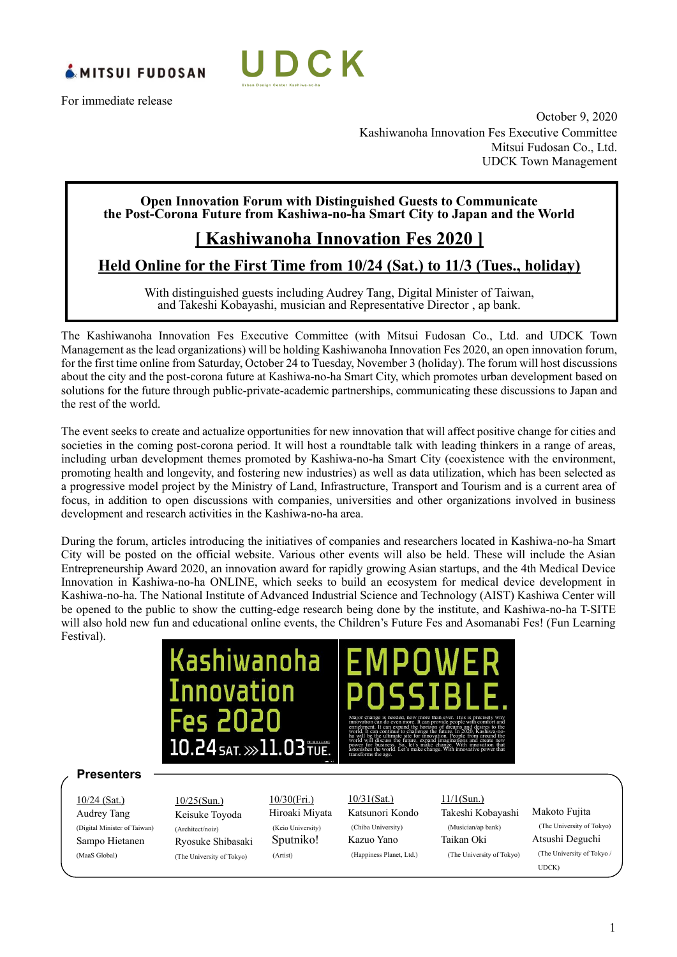

For immediate release



October 9, 2020 Kashiwanoha Innovation Fes Executive Committee Mitsui Fudosan Co., Ltd. UDCK Town Management

#### **Open Innovation Forum with Distinguished Guests to Communicate the Post-Corona Future from Kashiwa-no-ha Smart City to Japan and the World**

#### **[ Kashiwanoha Innovation Fes 2020 ]**

#### **Held Online for the First Time from 10/24 (Sat.) to 11/3 (Tues., holiday)**

With distinguished guests including Audrey Tang, Digital Minister of Taiwan, and Takeshi Kobayashi, musician and Representative Director , ap bank.

The Kashiwanoha Innovation Fes Executive Committee (with Mitsui Fudosan Co., Ltd. and UDCK Town Management as the lead organizations) will be holding Kashiwanoha Innovation Fes 2020, an open innovation forum, for the first time online from Saturday, October 24 to Tuesday, November 3 (holiday). The forum will host discussions about the city and the post-corona future at Kashiwa-no-ha Smart City, which promotes urban development based on solutions for the future through public-private-academic partnerships, communicating these discussions to Japan and the rest of the world.

The event seeks to create and actualize opportunities for new innovation that will affect positive change for cities and societies in the coming post-corona period. It will host a roundtable talk with leading thinkers in a range of areas, including urban development themes promoted by Kashiwa-no-ha Smart City (coexistence with the environment, promoting health and longevity, and fostering new industries) as well as data utilization, which has been selected as a progressive model project by the Ministry of Land, Infrastructure, Transport and Tourism and is a current area of focus, in addition to open discussions with companies, universities and other organizations involved in business development and research activities in the Kashiwa-no-ha area.

During the forum, articles introducing the initiatives of companies and researchers located in Kashiwa-no-ha Smart City will be posted on the official website. Various other events will also be held. These will include the Asian Entrepreneurship Award 2020, an innovation award for rapidly growing Asian startups, and the 4th Medical Device Innovation in Kashiwa-no-ha ONLINE, which seeks to build an ecosystem for medical device development in Kashiwa-no-ha. The National Institute of Advanced Industrial Science and Technology (AIST) Kashiwa Center will be opened to the public to show the cutting-edge research being done by the institute, and Kashiwa-no-ha T-SITE will also hold new fun and educational online events, the Children's Future Fes and Asomanabi Fes! (Fun Learning Festival).

## Kashiwanoha Innovation 10.24 SAT. >>>11.03 TUE.

### Major change is needed, now more than ever. This is precisely why innovation can do even more. It can provide people with comfort and enrichment. It can expand the horizon of dreams and desires to the

world. It can continue to challenge the future. In 2020, Kashiwa-noha will be the ultimate site for innovation. People from around the world will discuss the future, expand imaginations and create new power for business. So, let's make change. With innovation that astonishes the world. Let's make change. With innovative power that transforms the age.

#### **Presenters**

10/24 (Sat.) Audrey Tang (Digital Minister of Taiwan) Sampo Hietanen (MaaS Global)

10/25(Sun.) Keisuke Toyoda (Architect/noiz) Ryosuke Shibasaki (The University of Tokyo)

10/30(Fri.) Hiroaki Miyata (Keio University) Sputniko! (Artist)

#### 10/31(Sat.) Katsunori Kondo (Chiba University) Kazuo Yano (Happiness Planet, Ltd.)

#### 11/1(Sun.)

Takeshi Kobayashi (Musician/ap bank) Taikan Oki (The University of Tokyo)

#### Makoto Fujita (The University of Tokyo) Atsushi Deguchi (The University of Tokyo / UDCK)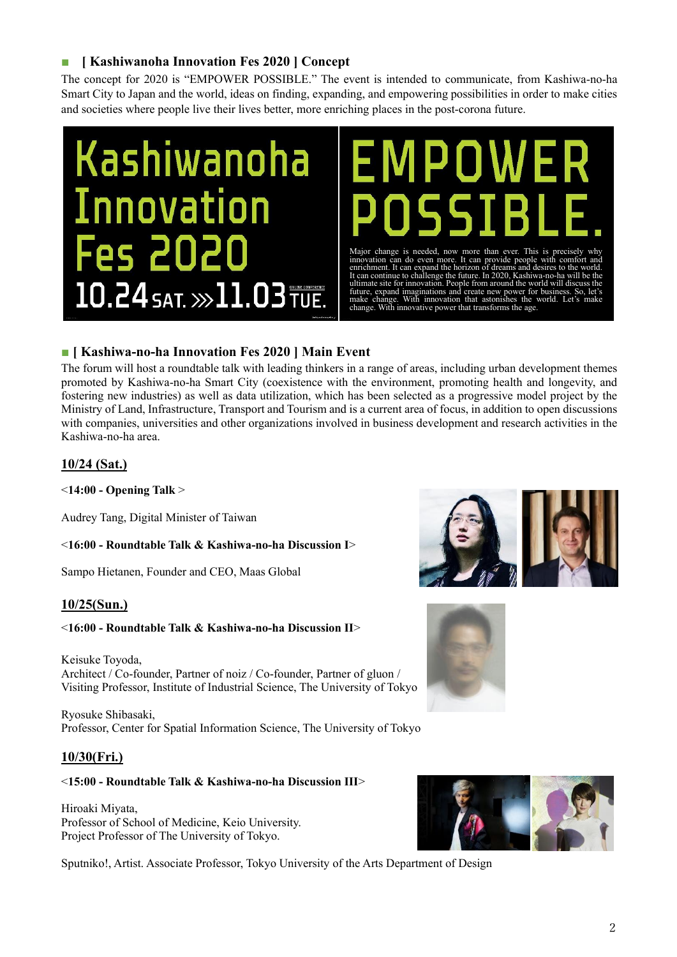#### ■ *Kashiwanoha Innovation Fes 2020**] Concept*

The concept for 2020 is "EMPOWER POSSIBLE." The event is intended to communicate, from Kashiwa-no-ha Smart City to Japan and the world, ideas on finding, expanding, and empowering possibilities in order to make cities and societies where people live their lives better, more enriching places in the post-corona future.

## **Kashiwanoha Innovation Fes 2020**  $10.24$  SAT.  $\gg$  11.03 TUE.

Major change is needed, now more than ever. This is precisely why<br>innovation can do even more. It can provide people with confort and<br>enrichment. It can expand the horizon of dreams and desires to the world.<br>It can continu

#### **■ [ Kashiwa-no-ha Innovation Fes 2020 ] Main Event**

The forum will host a roundtable talk with leading thinkers in a range of areas, including urban development themes promoted by Kashiwa-no-ha Smart City (coexistence with the environment, promoting health and longevity, and fostering new industries) as well as data utilization, which has been selected as a progressive model project by the Ministry of Land, Infrastructure, Transport and Tourism and is a current area of focus, in addition to open discussions with companies, universities and other organizations involved in business development and research activities in the Kashiwa-no-ha area.

#### **10/24 (Sat.)**

<**14:00 - Opening Talk** >

Audrey Tang, Digital Minister of Taiwan

<**16:00 - Roundtable Talk & Kashiwa-no-ha Discussion I**>

Sampo Hietanen, Founder and CEO, Maas Global

#### **10/25(Sun.)**

#### <**16:00 - Roundtable Talk & Kashiwa-no-ha Discussion II**>

Keisuke Toyoda, Architect / Co-founder, Partner of noiz / Co-founder, Partner of gluon / Visiting Professor, Institute of Industrial Science, The University of Tokyo

Ryosuke Shibasaki, Professor, Center for Spatial Information Science, The University of Tokyo

#### **10/30(Fri.)**

#### <**15:00 - Roundtable Talk & Kashiwa-no-ha Discussion III**>

Hiroaki Miyata, Professor of School of Medicine, Keio University. Project Professor of The University of Tokyo.

Sputniko!, Artist. Associate Professor, Tokyo University of the Arts Department of Design





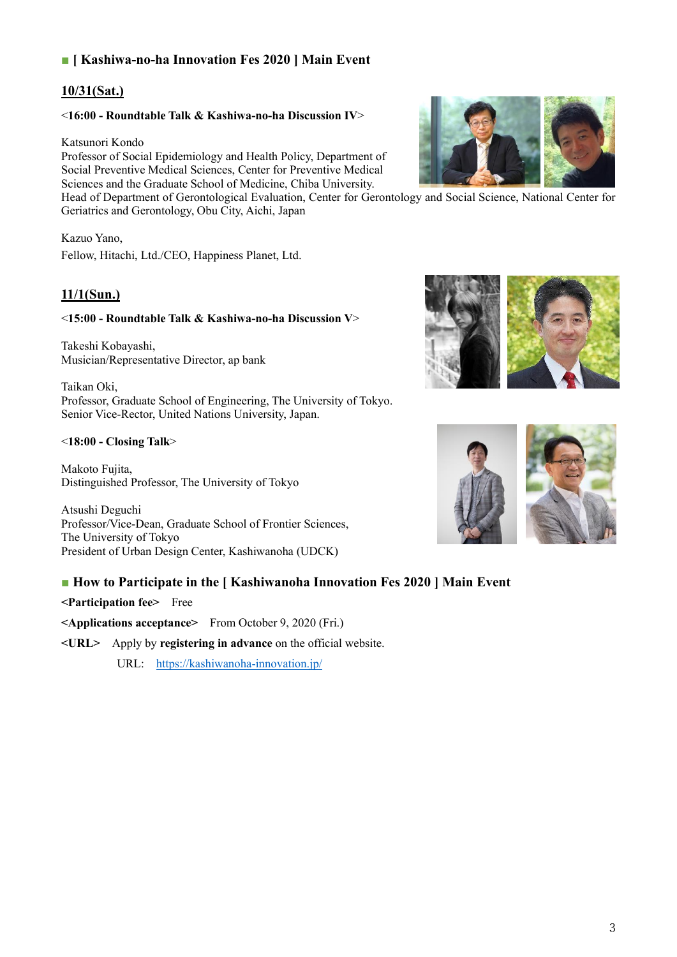#### ■ **[ Kashiwa-no-ha Innovation Fes 2020 ] Main Event**

#### **10/31(Sat.)**

#### <**16:00 - Roundtable Talk & Kashiwa-no-ha Discussion IV**>

#### Katsunori Kondo

Professor of Social Epidemiology and Health Policy, Department of Social Preventive Medical Sciences, Center for Preventive Medical Sciences and the Graduate School of Medicine, Chiba University.

Head of Department of Gerontological Evaluation, Center for Gerontology and Social Science, National Center for Geriatrics and Gerontology, Obu City, Aichi, Japan

#### Kazuo Yano,

Fellow, Hitachi, Ltd./CEO, Happiness Planet, Ltd.

#### **11/1(Sun.)**

#### <**15:00 - Roundtable Talk & Kashiwa-no-ha Discussion V**>

Takeshi Kobayashi, Musician/Representative Director, ap bank

Taikan Oki, Professor, Graduate School of Engineering, The University of Tokyo. Senior Vice-Rector, United Nations University, Japan.

#### <**18:00 - Closing Talk**>

Makoto Fujita, Distinguished Professor, The University of Tokyo

Atsushi Deguchi Professor/Vice-Dean, Graduate School of Frontier Sciences, The University of Tokyo President of Urban Design Center, Kashiwanoha (UDCK)

#### ■ **How to Participate in the [ Kashiwanoha Innovation Fes 2020 | Main Event**

**<Participation fee>** Free

**<Applications acceptance>** From October 9, 2020 (Fri.)

**<URL>** Apply by **registering in advance** on the official website.

URL: <https://kashiwanoha-innovation.jp/>





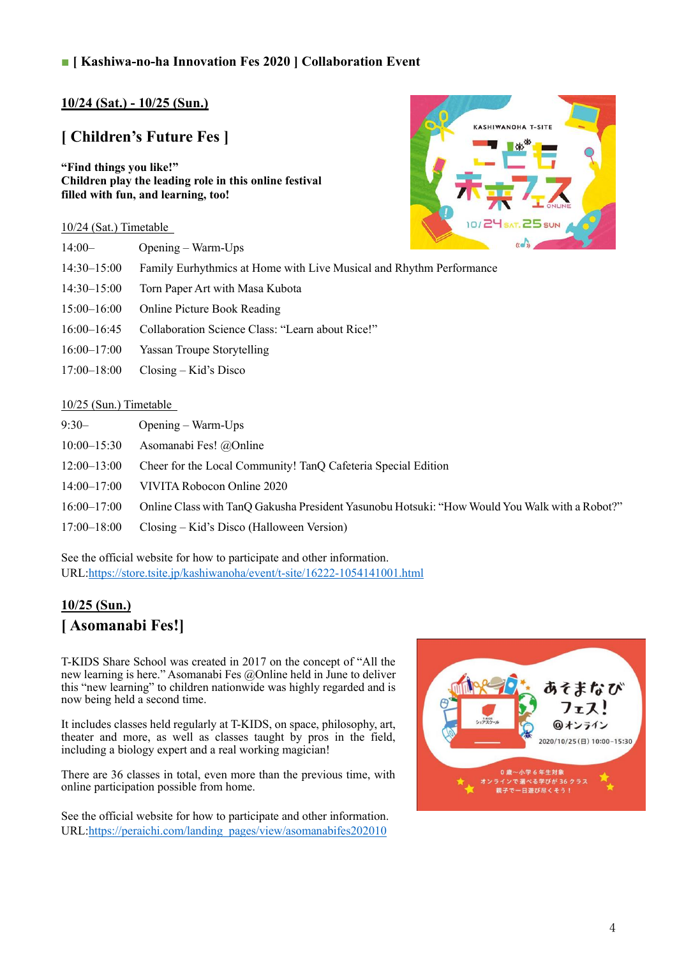#### ■ **[ Kashiwa-no-ha Innovation Fes 2020 ] Collaboration Event**

#### **10/24 (Sat.) - 10/25 (Sun.)**

#### **[ Children's Future Fes ]**

**"Find things you like!" Children play the leading role in this online festival filled with fun, and learning, too!**

# KASHIWANOHA T-SIT  $SAT.$  25 sur

#### 10/24 (Sat.) Timetable

| $14:00-$        | Opening – Warm-Ups                                                  | $(K - 3)$ |
|-----------------|---------------------------------------------------------------------|-----------|
| $14:30-15:00$   | Family Eurhythmics at Home with Live Musical and Rhythm Performance |           |
| $14:30-15:00$   | Torn Paper Art with Masa Kubota                                     |           |
| $15:00 - 16:00$ | <b>Online Picture Book Reading</b>                                  |           |
| $16:00 - 16:45$ | Collaboration Science Class: "Learn about Rice!"                    |           |
| $16:00 - 17:00$ | Yassan Troupe Storytelling                                          |           |
| $17:00 - 18:00$ | $\text{Closing} - \text{Kid's Disco}$                               |           |

#### 10/25 (Sun.) Timetable

| $9:30-$         | $Opening - Warm-Ups$                                                                          |
|-----------------|-----------------------------------------------------------------------------------------------|
| $10:00 - 15:30$ | Asomanabi Fes! @Online                                                                        |
| $12:00 - 13:00$ | Cheer for the Local Community! TanQ Cafeteria Special Edition                                 |
| $14:00 - 17:00$ | VIVITA Robocon Online 2020                                                                    |
| $16:00 - 17:00$ | Online Class with TanQ Gakusha President Yasunobu Hotsuki: "How Would You Walk with a Robot?" |
| 17:00–18:00     | Closing – Kid's Disco (Halloween Version)                                                     |

See the official website for how to participate and other information. URL[:https://store.tsite.jp/kashiwanoha/event/t-site/16222-1054141001.html](https://store.tsite.jp/kashiwanoha/event/t-site/16222-1054141001.html)

#### **10/25 (Sun.) [ Asomanabi Fes!]**

T-KIDS Share School was created in 2017 on the concept of "All the new learning is here." Asomanabi Fes @Online held in June to deliver this "new learning" to children nationwide was highly regarded and is now being held a second time.

It includes classes held regularly at T-KIDS, on space, philosophy, art, theater and more, as well as classes taught by pros in the field, including a biology expert and a real working magician!

There are 36 classes in total, even more than the previous time, with online participation possible from home.

See the official website for how to participate and other information. URL[:https://peraichi.com/landing\\_pages/view/asomanabifes202010](https://peraichi.com/landing_pages/view/asomanabifes202010)

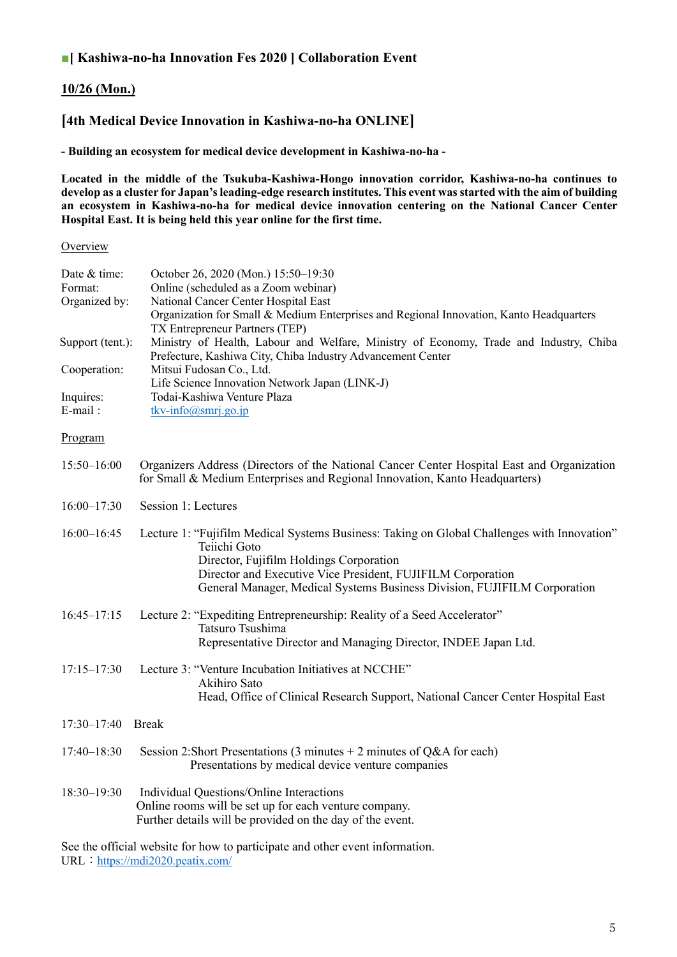#### ■**[ Kashiwa-no-ha Innovation Fes 2020 ] Collaboration Event**

#### **10/26 (Mon.)**

#### **[4th Medical Device Innovation in Kashiwa-no-ha ONLINE]**

**- Building an ecosystem for medical device development in Kashiwa-no-ha -**

**Located in the middle of the Tsukuba-Kashiwa-Hongo innovation corridor, Kashiwa-no-ha continues to develop as a cluster for Japan's leading-edge research institutes. This event was started with the aim of building an ecosystem in Kashiwa-no-ha for medical device innovation centering on the National Cancer Center Hospital East. It is being held this year online for the first time.**

#### **Overview**

| Date & time:<br>Format: | October 26, 2020 (Mon.) 15:50-19:30<br>Online (scheduled as a Zoom webinar)                                                                                                                                                                                                                       |
|-------------------------|---------------------------------------------------------------------------------------------------------------------------------------------------------------------------------------------------------------------------------------------------------------------------------------------------|
| Organized by:           | National Cancer Center Hospital East                                                                                                                                                                                                                                                              |
|                         | Organization for Small & Medium Enterprises and Regional Innovation, Kanto Headquarters                                                                                                                                                                                                           |
|                         | TX Entrepreneur Partners (TEP)                                                                                                                                                                                                                                                                    |
| Support (tent.):        | Ministry of Health, Labour and Welfare, Ministry of Economy, Trade and Industry, Chiba<br>Prefecture, Kashiwa City, Chiba Industry Advancement Center                                                                                                                                             |
| Cooperation:            | Mitsui Fudosan Co., Ltd.                                                                                                                                                                                                                                                                          |
|                         | Life Science Innovation Network Japan (LINK-J)                                                                                                                                                                                                                                                    |
| Inquires:<br>E-mail:    | Todai-Kashiwa Venture Plaza<br>tkv-info@smrj.go.jp                                                                                                                                                                                                                                                |
|                         |                                                                                                                                                                                                                                                                                                   |
| Program                 |                                                                                                                                                                                                                                                                                                   |
| 15:50-16:00             | Organizers Address (Directors of the National Cancer Center Hospital East and Organization<br>for Small & Medium Enterprises and Regional Innovation, Kanto Headquarters)                                                                                                                         |
| $16:00 - 17:30$         | Session 1: Lectures                                                                                                                                                                                                                                                                               |
| $16:00 - 16:45$         | Lecture 1: "Fujifilm Medical Systems Business: Taking on Global Challenges with Innovation"<br>Teiichi Goto<br>Director, Fujifilm Holdings Corporation<br>Director and Executive Vice President, FUJIFILM Corporation<br>General Manager, Medical Systems Business Division, FUJIFILM Corporation |
| $16:45 - 17:15$         | Lecture 2: "Expediting Entrepreneurship: Reality of a Seed Accelerator"<br>Tatsuro Tsushima                                                                                                                                                                                                       |
|                         | Representative Director and Managing Director, INDEE Japan Ltd.                                                                                                                                                                                                                                   |
| $17:15 - 17:30$         | Lecture 3: "Venture Incubation Initiatives at NCCHE"<br>Akihiro Sato<br>Head, Office of Clinical Research Support, National Cancer Center Hospital East                                                                                                                                           |
|                         |                                                                                                                                                                                                                                                                                                   |
| $17:30 - 17:40$         | <b>Break</b>                                                                                                                                                                                                                                                                                      |
| $17:40 - 18:30$         | Session 2:Short Presentations (3 minutes + 2 minutes of $Q&A$ for each)<br>Presentations by medical device venture companies                                                                                                                                                                      |
| 18:30-19:30             | Individual Questions/Online Interactions<br>Online rooms will be set up for each venture company.<br>Further details will be provided on the day of the event.                                                                                                                                    |
|                         |                                                                                                                                                                                                                                                                                                   |

See the official website for how to participate and other event information. URL: <https://mdi2020.peatix.com/>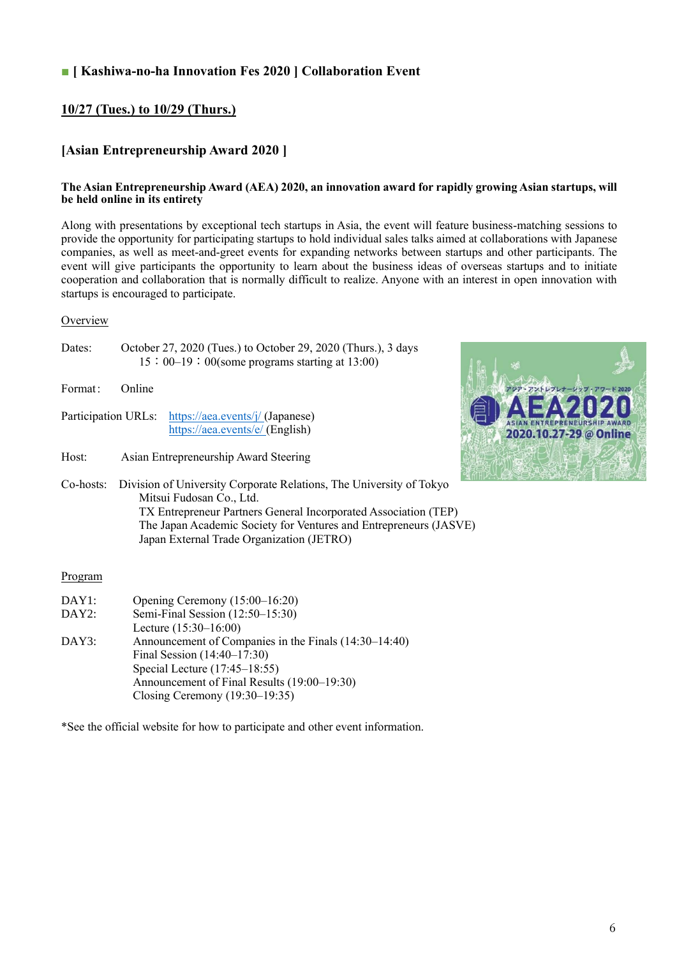#### **■ [ Kashiwa-no-ha Innovation Fes 2020 ] Collaboration Event**

#### **10/27 (Tues.) to 10/29 (Thurs.)**

#### **[Asian Entrepreneurship Award 2020 ]**

#### **The Asian Entrepreneurship Award (AEA) 2020, an innovation award for rapidly growing Asian startups, will be held online in its entirety**

Along with presentations by exceptional tech startups in Asia, the event will feature business-matching sessions to provide the opportunity for participating startups to hold individual sales talks aimed at collaborations with Japanese companies, as well as meet-and-greet events for expanding networks between startups and other participants. The event will give participants the opportunity to learn about the business ideas of overseas startups and to initiate cooperation and collaboration that is normally difficult to realize. Anyone with an interest in open innovation with startups is encouraged to participate.

#### **Overview**

| Dates: | October 27, 2020 (Tues.) to October 29, 2020 (Thurs.), 3 days |  |
|--------|---------------------------------------------------------------|--|
|        | $15:00-19:00$ (some programs starting at 13:00)               |  |

Format: Online

- Participation URLs: <https://aea.events/j/> (Japanese) <https://aea.events/e/> (English)
- Host: Asian Entrepreneurship Award Steering



Co-hosts: Division of University Corporate Relations, The University of Tokyo Mitsui Fudosan Co., Ltd. TX Entrepreneur Partners General Incorporated Association (TEP) The Japan Academic Society for Ventures and Entrepreneurs (JASVE) Japan External Trade Organization (JETRO)

#### Program

| DAY1: | Opening Ceremony (15:00-16:20)                        |
|-------|-------------------------------------------------------|
| DAY2: | Semi-Final Session (12:50-15:30)                      |
|       | Lecture $(15:30-16:00)$                               |
| DAY3: | Announcement of Companies in the Finals (14:30–14:40) |
|       | Final Session $(14:40-17:30)$                         |
|       | Special Lecture $(17:45-18:55)$                       |
|       | Announcement of Final Results (19:00–19:30)           |
|       | Closing Ceremony $(19:30-19:35)$                      |

\*See the official website for how to participate and other event information.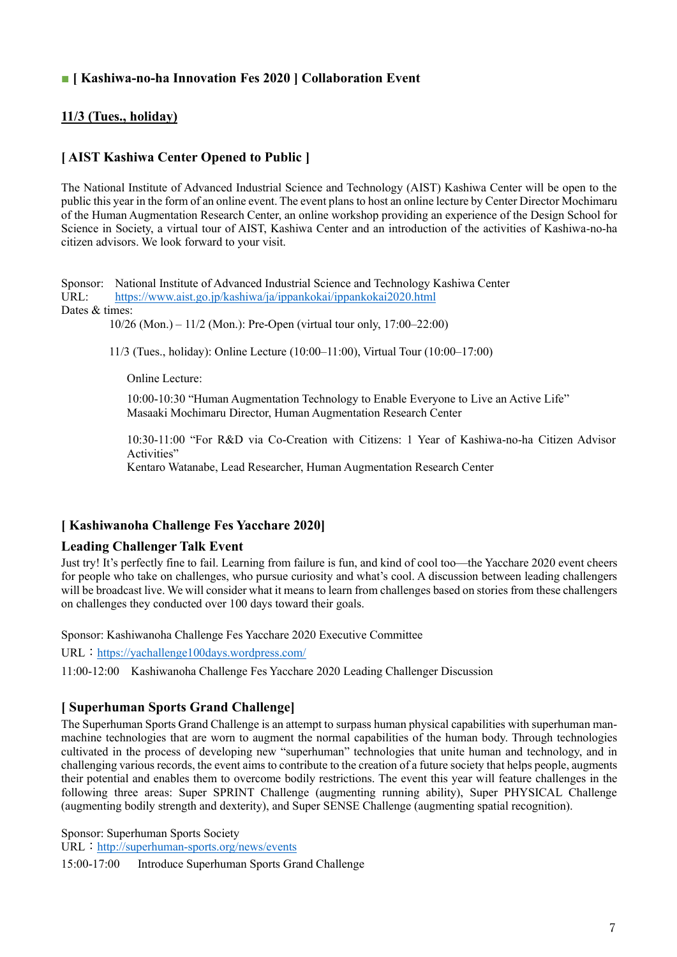#### ■ **[ Kashiwa-no-ha Innovation Fes 2020 ] Collaboration Event**

#### **11/3 (Tues., holiday)**

#### **[ AIST Kashiwa Center Opened to Public ]**

The National Institute of Advanced Industrial Science and Technology (AIST) Kashiwa Center will be open to the public this year in the form of an online event. The event plans to host an online lecture by Center Director Mochimaru of the Human Augmentation Research Center, an online workshop providing an experience of the Design School for Science in Society, a virtual tour of AIST, Kashiwa Center and an introduction of the activities of Kashiwa-no-ha citizen advisors. We look forward to your visit.

Sponsor: National Institute of Advanced Industrial Science and Technology Kashiwa Center URL: <https://www.aist.go.jp/kashiwa/ja/ippankokai/ippankokai2020.html> Dates & times:

10/26 (Mon.) – 11/2 (Mon.): Pre-Open (virtual tour only, 17:00–22:00)

11/3 (Tues., holiday): Online Lecture (10:00–11:00), Virtual Tour (10:00–17:00)

Online Lecture:

10:00-10:30 "Human Augmentation Technology to Enable Everyone to Live an Active Life" Masaaki Mochimaru Director, Human Augmentation Research Center

10:30-11:00 "For R&D via Co-Creation with Citizens: 1 Year of Kashiwa-no-ha Citizen Advisor Activities"

Kentaro Watanabe, Lead Researcher, Human Augmentation Research Center

#### **[ Kashiwanoha Challenge Fes Yacchare 2020]**

#### **Leading Challenger Talk Event**

Just try! It's perfectly fine to fail. Learning from failure is fun, and kind of cool too—the Yacchare 2020 event cheers for people who take on challenges, who pursue curiosity and what's cool. A discussion between leading challengers will be broadcast live. We will consider what it means to learn from challenges based on stories from these challengers on challenges they conducted over 100 days toward their goals.

Sponsor: Kashiwanoha Challenge Fes Yacchare 2020 Executive Committee

URL: <https://yachallenge100days.wordpress.com/>

11:00-12:00 Kashiwanoha Challenge Fes Yacchare 2020 Leading Challenger Discussion

#### **[ Superhuman Sports Grand Challenge]**

The Superhuman Sports Grand Challenge is an attempt to surpass human physical capabilities with superhuman manmachine technologies that are worn to augment the normal capabilities of the human body. Through technologies cultivated in the process of developing new "superhuman" technologies that unite human and technology, and in challenging various records, the event aims to contribute to the creation of a future society that helps people, augments their potential and enables them to overcome bodily restrictions. The event this year will feature challenges in the following three areas: Super SPRINT Challenge (augmenting running ability), Super PHYSICAL Challenge (augmenting bodily strength and dexterity), and Super SENSE Challenge (augmenting spatial recognition).

Sponsor: Superhuman Sports Society

URL: <http://superhuman-sports.org/news/events>

15:00-17:00 Introduce Superhuman Sports Grand Challenge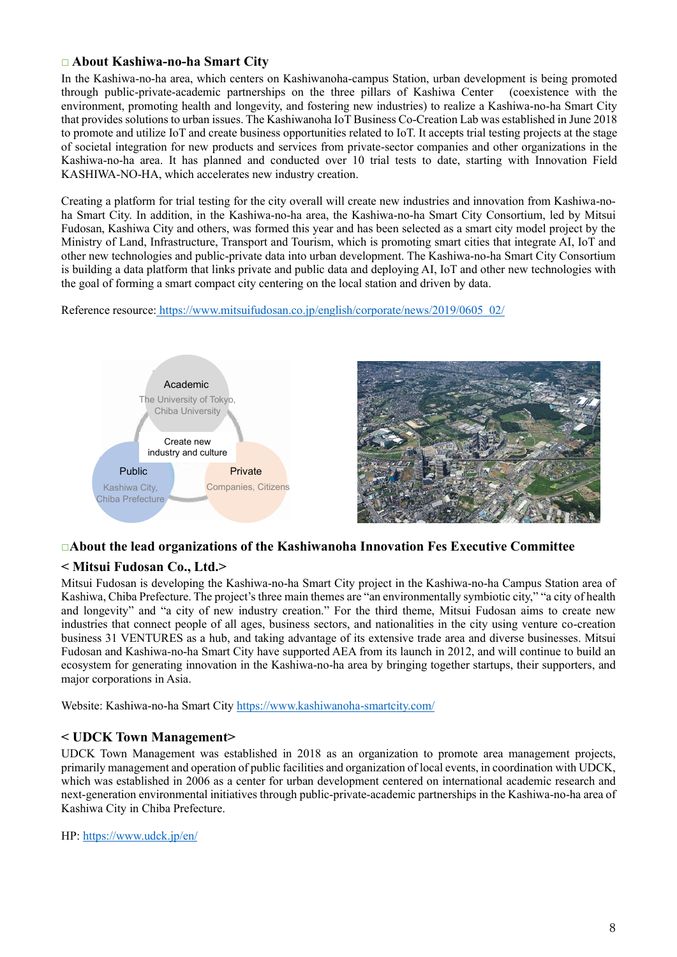#### **□ About Kashiwa-no-ha Smart City**

In the Kashiwa-no-ha area, which centers on Kashiwanoha-campus Station, urban development is being promoted through public-private-academic partnerships on the three pillars of Kashiwa Center (coexistence with the environment, promoting health and longevity, and fostering new industries) to realize a Kashiwa-no-ha Smart City that provides solutions to urban issues. The Kashiwanoha IoT Business Co-Creation Lab was established in June 2018 to promote and utilize IoT and create business opportunities related to IoT. It accepts trial testing projects at the stage of societal integration for new products and services from private-sector companies and other organizations in the Kashiwa-no-ha area. It has planned and conducted over 10 trial tests to date, starting with Innovation Field KASHIWA-NO-HA, which accelerates new industry creation.

Creating a platform for trial testing for the city overall will create new industries and innovation from Kashiwa-noha Smart City. In addition, in the Kashiwa-no-ha area, the Kashiwa-no-ha Smart City Consortium, led by Mitsui Fudosan, Kashiwa City and others, was formed this year and has been selected as a smart city model project by the Ministry of Land, Infrastructure, Transport and Tourism, which is promoting smart cities that integrate AI, IoT and other new technologies and public-private data into urban development. The Kashiwa-no-ha Smart City Consortium is building a data platform that links private and public data and deploying AI, IoT and other new technologies with the goal of forming a smart compact city centering on the local station and driven by data.

Reference resource: [https://www.mitsuifudosan.co.jp/english/corporate/news/2019/0605\\_02/](https://www.mitsuifudosan.co.jp/english/corporate/news/2019/0605_02/)



#### □**About the lead organizations of the Kashiwanoha Innovation Fes Executive Committee**

#### **< Mitsui Fudosan Co., Ltd.>**

Mitsui Fudosan is developing the Kashiwa-no-ha Smart City project in the Kashiwa-no-ha Campus Station area of Kashiwa, Chiba Prefecture. The project's three main themes are "an environmentally symbiotic city," "a city of health and longevity" and "a city of new industry creation." For the third theme, Mitsui Fudosan aims to create new industries that connect people of all ages, business sectors, and nationalities in the city using venture co-creation business 31 VENTURES as a hub, and taking advantage of its extensive trade area and diverse businesses. Mitsui Fudosan and Kashiwa-no-ha Smart City have supported AEA from its launch in 2012, and will continue to build an ecosystem for generating innovation in the Kashiwa-no-ha area by bringing together startups, their supporters, and major corporations in Asia.

Website: Kashiwa-no-ha Smart City<https://www.kashiwanoha-smartcity.com/>

#### **< UDCK Town Management>**

UDCK Town Management was established in 2018 as an organization to promote area management projects, primarily management and operation of public facilities and organization of local events, in coordination with UDCK, which was established in 2006 as a center for urban development centered on international academic research and next-generation environmental initiatives through public-private-academic partnerships in the Kashiwa-no-ha area of Kashiwa City in Chiba Prefecture.

HP: <https://www.udck.jp/en/>